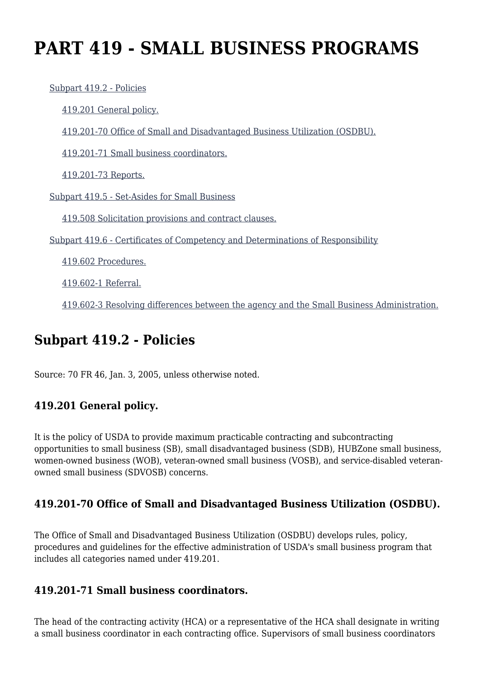# **PART 419 - SMALL BUSINESS PROGRAMS**

 [Subpart 419.2 - Policies](https://origin-www.acquisition.gov/%5Brp:link:agar-part-419%5D#Subpart_419_2_T48_40214201) [419.201 General policy.](https://origin-www.acquisition.gov/%5Brp:link:agar-part-419%5D#Section_419_201_T48_4021420111) [419.201-70 Office of Small and Disadvantaged Business Utilization \(OSDBU\).](https://origin-www.acquisition.gov/%5Brp:link:agar-part-419%5D#Section_419_201_70_T48_4021420112) [419.201-71 Small business coordinators.](https://origin-www.acquisition.gov/%5Brp:link:agar-part-419%5D#Section_419_201_71_T48_4021420113) [419.201-73 Reports.](https://origin-www.acquisition.gov/%5Brp:link:agar-part-419%5D#Section_419_201_73_T48_4021420114) [Subpart 419.5 - Set-Asides for Small Business](https://origin-www.acquisition.gov/%5Brp:link:agar-part-419%5D#Subpart_419_5_T48_40214202) [419.508 Solicitation provisions and contract clauses.](https://origin-www.acquisition.gov/%5Brp:link:agar-part-419%5D#Section_419_508_T48_4021420211) [Subpart 419.6 - Certificates of Competency and Determinations of Responsibility](https://origin-www.acquisition.gov/%5Brp:link:agar-part-419%5D#Subpart_419_6_T48_40214203) [419.602 Procedures.](https://origin-www.acquisition.gov/%5Brp:link:agar-part-419%5D#Section_419_602_T48_4021420311) [419.602-1 Referral.](https://origin-www.acquisition.gov/%5Brp:link:agar-part-419%5D#Section_419_602_1_T48_4021420312)

[419.602-3 Resolving differences between the agency and the Small Business Administration.](https://origin-www.acquisition.gov/%5Brp:link:agar-part-419%5D#Section_419_602_3_T48_4021420313)

## **Subpart 419.2 - Policies**

Source: 70 FR 46, Jan. 3, 2005, unless otherwise noted.

### **419.201 General policy.**

It is the policy of USDA to provide maximum practicable contracting and subcontracting opportunities to small business (SB), small disadvantaged business (SDB), HUBZone small business, women-owned business (WOB), veteran-owned small business (VOSB), and service-disabled veteranowned small business (SDVOSB) concerns.

### **419.201-70 Office of Small and Disadvantaged Business Utilization (OSDBU).**

The Office of Small and Disadvantaged Business Utilization (OSDBU) develops rules, policy, procedures and guidelines for the effective administration of USDA's small business program that includes all categories named under 419.201.

### **419.201-71 Small business coordinators.**

The head of the contracting activity (HCA) or a representative of the HCA shall designate in writing a small business coordinator in each contracting office. Supervisors of small business coordinators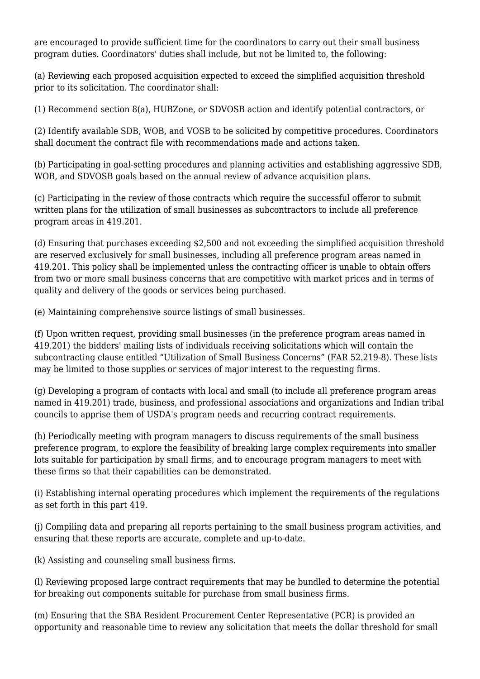are encouraged to provide sufficient time for the coordinators to carry out their small business program duties. Coordinators' duties shall include, but not be limited to, the following:

(a) Reviewing each proposed acquisition expected to exceed the simplified acquisition threshold prior to its solicitation. The coordinator shall:

(1) Recommend section 8(a), HUBZone, or SDVOSB action and identify potential contractors, or

(2) Identify available SDB, WOB, and VOSB to be solicited by competitive procedures. Coordinators shall document the contract file with recommendations made and actions taken.

(b) Participating in goal-setting procedures and planning activities and establishing aggressive SDB, WOB, and SDVOSB goals based on the annual review of advance acquisition plans.

(c) Participating in the review of those contracts which require the successful offeror to submit written plans for the utilization of small businesses as subcontractors to include all preference program areas in 419.201.

(d) Ensuring that purchases exceeding \$2,500 and not exceeding the simplified acquisition threshold are reserved exclusively for small businesses, including all preference program areas named in 419.201. This policy shall be implemented unless the contracting officer is unable to obtain offers from two or more small business concerns that are competitive with market prices and in terms of quality and delivery of the goods or services being purchased.

(e) Maintaining comprehensive source listings of small businesses.

(f) Upon written request, providing small businesses (in the preference program areas named in 419.201) the bidders' mailing lists of individuals receiving solicitations which will contain the subcontracting clause entitled "Utilization of Small Business Concerns" (FAR 52.219-8). These lists may be limited to those supplies or services of major interest to the requesting firms.

(g) Developing a program of contacts with local and small (to include all preference program areas named in 419.201) trade, business, and professional associations and organizations and Indian tribal councils to apprise them of USDA's program needs and recurring contract requirements.

(h) Periodically meeting with program managers to discuss requirements of the small business preference program, to explore the feasibility of breaking large complex requirements into smaller lots suitable for participation by small firms, and to encourage program managers to meet with these firms so that their capabilities can be demonstrated.

(i) Establishing internal operating procedures which implement the requirements of the regulations as set forth in this part 419.

(j) Compiling data and preparing all reports pertaining to the small business program activities, and ensuring that these reports are accurate, complete and up-to-date.

(k) Assisting and counseling small business firms.

(l) Reviewing proposed large contract requirements that may be bundled to determine the potential for breaking out components suitable for purchase from small business firms.

(m) Ensuring that the SBA Resident Procurement Center Representative (PCR) is provided an opportunity and reasonable time to review any solicitation that meets the dollar threshold for small